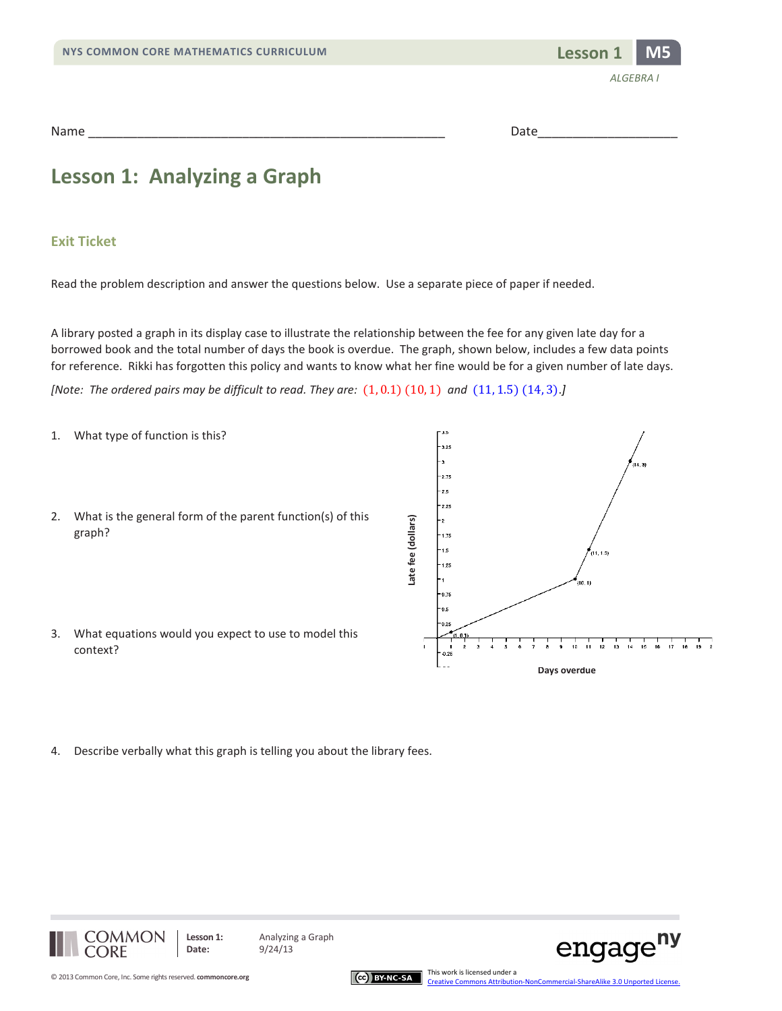



Name \_\_\_\_\_\_\_\_\_\_\_\_\_\_\_\_\_\_\_\_\_\_\_\_\_\_\_\_\_\_\_\_\_\_\_\_\_\_\_\_\_\_\_\_\_\_\_\_\_\_\_ Date\_\_\_\_\_\_\_\_\_\_\_\_\_\_\_\_\_\_\_\_

## **Lesson 1: Analyzing a Graph**

#### **Exit Ticket**

Read the problem description and answer the questions below. Use a separate piece of paper if needed.

A library posted a graph in its display case to illustrate the relationship between the fee for any given late day for a borrowed book and the total number of days the book is overdue. The graph, shown below, includes a few data points for reference. Rikki has forgotten this policy and wants to know what her fine would be for a given number of late days.

*[Note: The ordered pairs may be difficult to read. They are:* (1, 0.1) (10, 1) *and* (11, 1.5) (14, 3).*]*

- 1. What type of function is this? ä.  $3.25$  $-2.75$  $^{\circ}2.5$ 2.25 2. What is the general form of the parent function(s) of this ate fee (dollars) **Late fee (dollars)**graph?  $-1.75$ |- 1.5  $11, 1.5$ + 1.25  $0.75$  $0.5$  $-0.2$ 3. What equations would you expect to use to model this  $\frac{1}{12}$  $\frac{1}{14}$  $\frac{1}{16}$ 1 | | | |<br>16 17 18 19 2  $\frac{1}{10}$  $\frac{1}{11}$  $\frac{1}{12}$ context? **Days overdue**
- 4. Describe verbally what this graph is telling you about the library fees.







ny

engage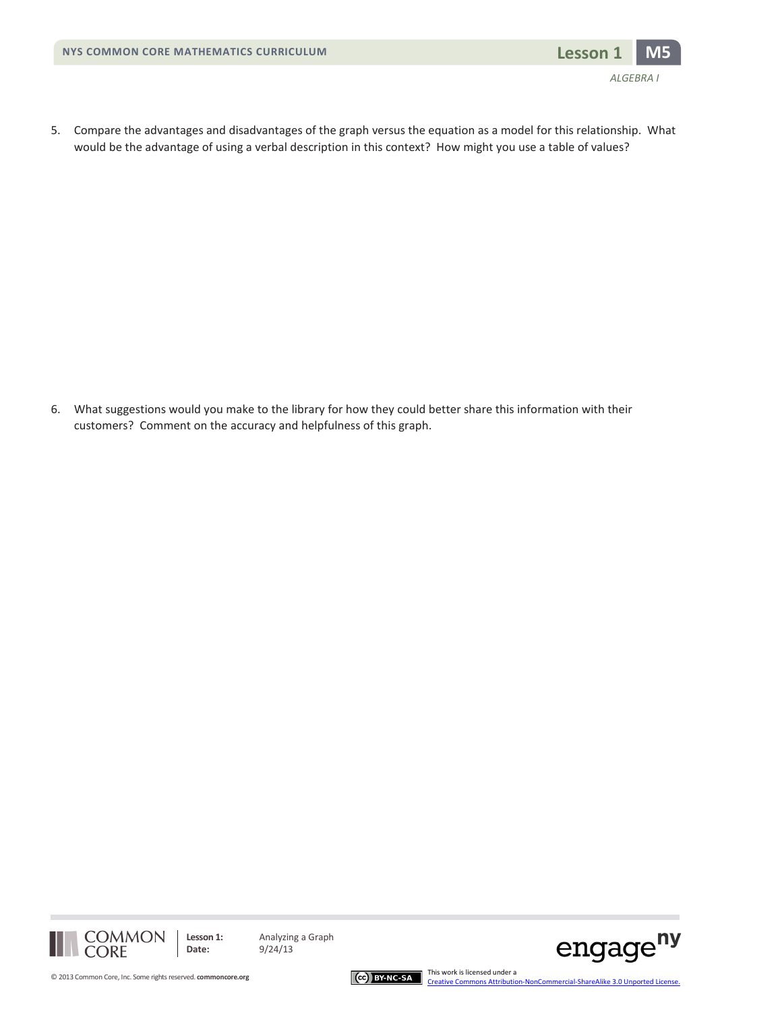

5. Compare the advantages and disadvantages of the graph versus the equation as a model for this relationship. What would be the advantage of using a verbal description in this context? How might you use a table of values?

6. What suggestions would you make to the library for how they could better share this information with their customers? Comment on the accuracy and helpfulness of this graph.





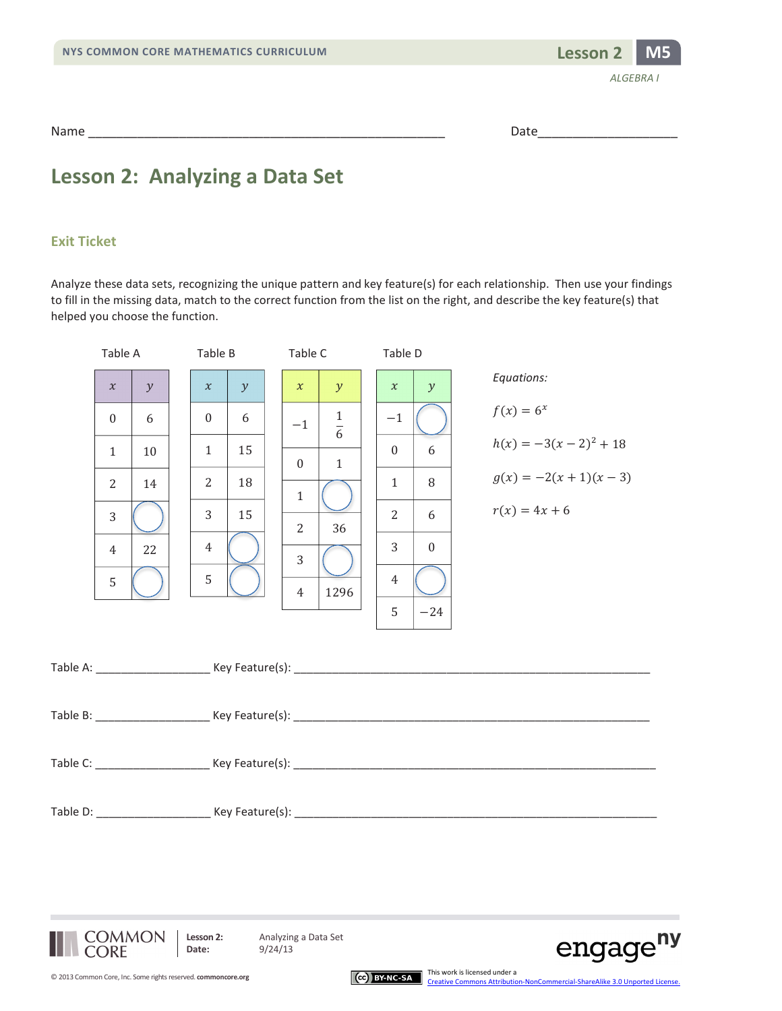

Name \_\_\_\_\_\_\_\_\_\_\_\_\_\_\_\_\_\_\_\_\_\_\_\_\_\_\_\_\_\_\_\_\_\_\_\_\_\_\_\_\_\_\_\_\_\_\_\_\_\_\_ Date\_\_\_\_\_\_\_\_\_\_\_\_\_\_\_\_\_\_\_\_

### **Lesson 2: Analyzing a Data Set**

#### **Exit Ticket**

Analyze these data sets, recognizing the unique pattern and key feature(s) for each relationship. Then use your findings to fill in the missing data, match to the correct function from the list on the right, and describe the key feature(s) that helped you choose the function.

| Table A                                    |                          | Table B                            |                          | Table C                                  |                                                                 | Table D                                                              |                                   |                                                                                |  |
|--------------------------------------------|--------------------------|------------------------------------|--------------------------|------------------------------------------|-----------------------------------------------------------------|----------------------------------------------------------------------|-----------------------------------|--------------------------------------------------------------------------------|--|
| $\chi$<br>$\theta$<br>$\mathbf{1}$         | $\mathcal{Y}$<br>6<br>10 | $\chi$<br>$\Omega$<br>$\mathbf{1}$ | $\mathcal{Y}$<br>6<br>15 | $\mathcal{X}$<br>$-1$<br>$\mathbf{0}$    | $\mathcal{Y}$<br>$\mathbf{1}$<br>$\overline{6}$<br>$\mathbf{1}$ | $\mathcal{X}$<br>$-1$<br>$\Omega$                                    | $\mathcal{Y}$<br>6                | Equations:<br>$f(x) = 6^x$<br>$h(x) = -3(x-2)^2 + 18$<br>$g(x) = -2(x+1)(x-3)$ |  |
| $\overline{2}$<br>3<br>$\overline{4}$<br>5 | 14<br>22                 | 2<br>3<br>$\overline{4}$<br>5      | 18<br>15                 | $\mathbf{1}$<br>2<br>3<br>$\overline{4}$ | 36<br>1296                                                      | $\mathbf{1}$<br>$2^{\circ}$<br>$\overline{3}$<br>$\overline{4}$<br>5 | 8<br>6<br>$\overline{0}$<br>$-24$ | $r(x) = 4x + 6$                                                                |  |
|                                            |                          |                                    |                          |                                          |                                                                 |                                                                      |                                   |                                                                                |  |
|                                            |                          |                                    |                          |                                          |                                                                 |                                                                      |                                   |                                                                                |  |
|                                            |                          |                                    |                          |                                          |                                                                 |                                                                      |                                   |                                                                                |  |
|                                            |                          |                                    |                          |                                          |                                                                 |                                                                      |                                   |                                                                                |  |





[Creative Commons Attribution-NonCommercial-ShareAlike 3.0 Unported License.](http://creativecommons.org/licenses/by-nc-sa/3.0/deed.en_US)

This work is licensed under a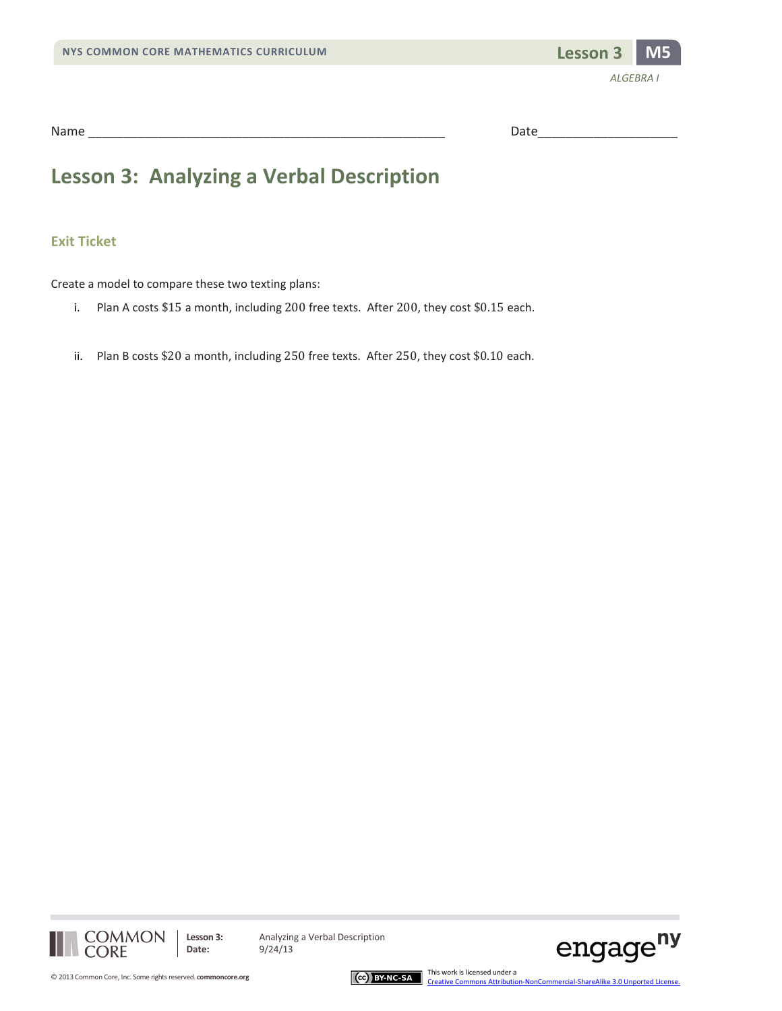

| Name<br>. <b>. . .</b> | . |  |
|------------------------|---|--|
|                        |   |  |

## **Lesson 3: Analyzing a Verbal Description**

#### **Exit Ticket**

Create a model to compare these two texting plans:

- i. Plan A costs \$15 a month, including 200 free texts. After 200, they cost \$0.15 each.
- ii. Plan B costs \$20 a month, including 250 free texts. After 250, they cost \$0.10 each.





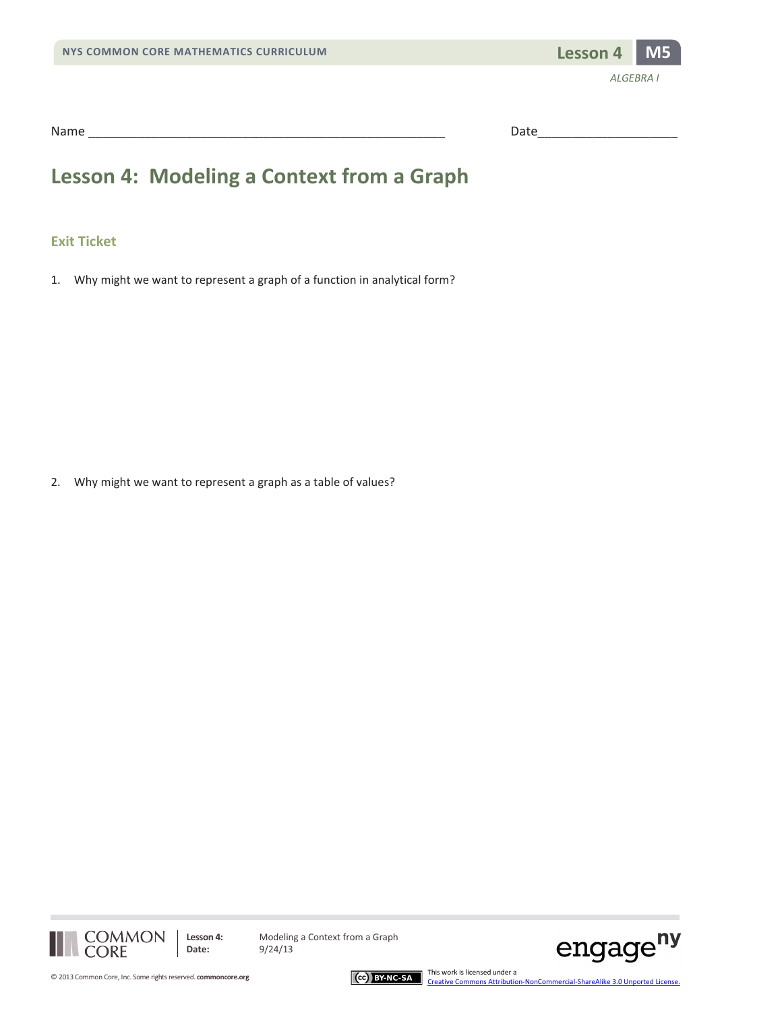

| Nam |   |  |
|-----|---|--|
|     | . |  |

# **Lesson 4: Modeling a Context from a Graph**

#### **Exit Ticket**

1. Why might we want to represent a graph of a function in analytical form?

2. Why might we want to represent a graph as a table of values?



Lesson 4: Modeling a Context from a Graph



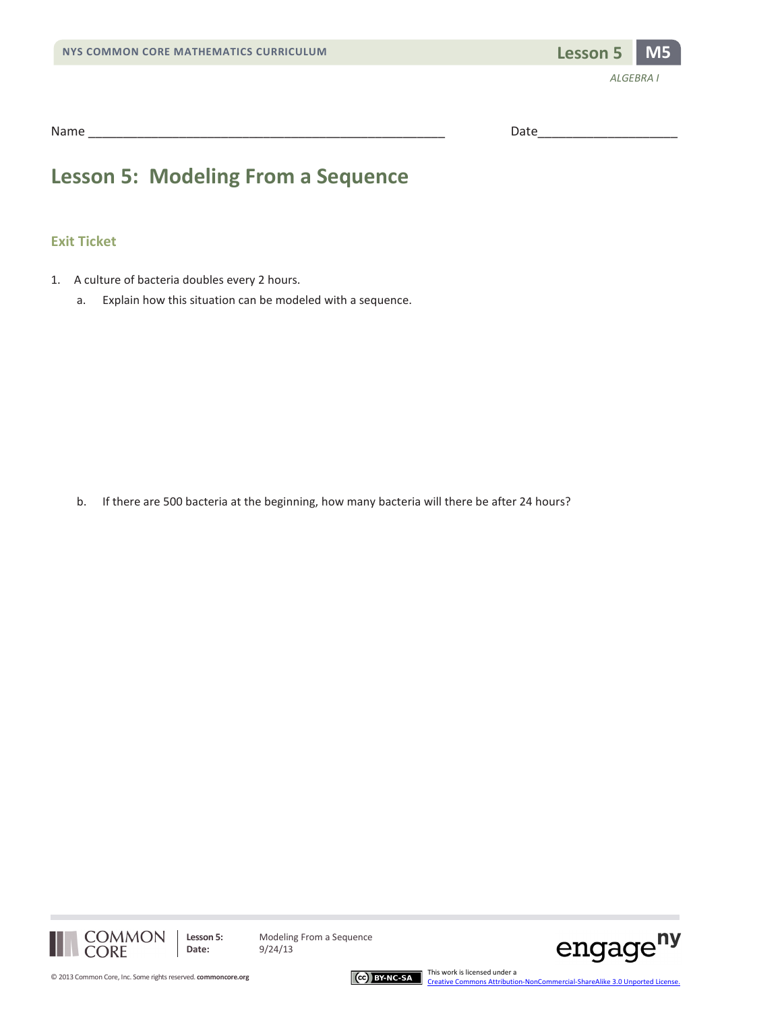

Name \_\_\_\_\_\_\_\_\_\_\_\_\_\_\_\_\_\_\_\_\_\_\_\_\_\_\_\_\_\_\_\_\_\_\_\_\_\_\_\_\_\_\_\_\_\_\_\_\_\_\_ Date\_\_\_\_\_\_\_\_\_\_\_\_\_\_\_\_\_\_\_\_

## **Lesson 5: Modeling From a Sequence**

#### **Exit Ticket**

- 1. A culture of bacteria doubles every 2 hours.
	- a. Explain how this situation can be modeled with a sequence.

b. If there are 500 bacteria at the beginning, how many bacteria will there be after 24 hours?



**Lesson 5:** Modeling From a Sequence



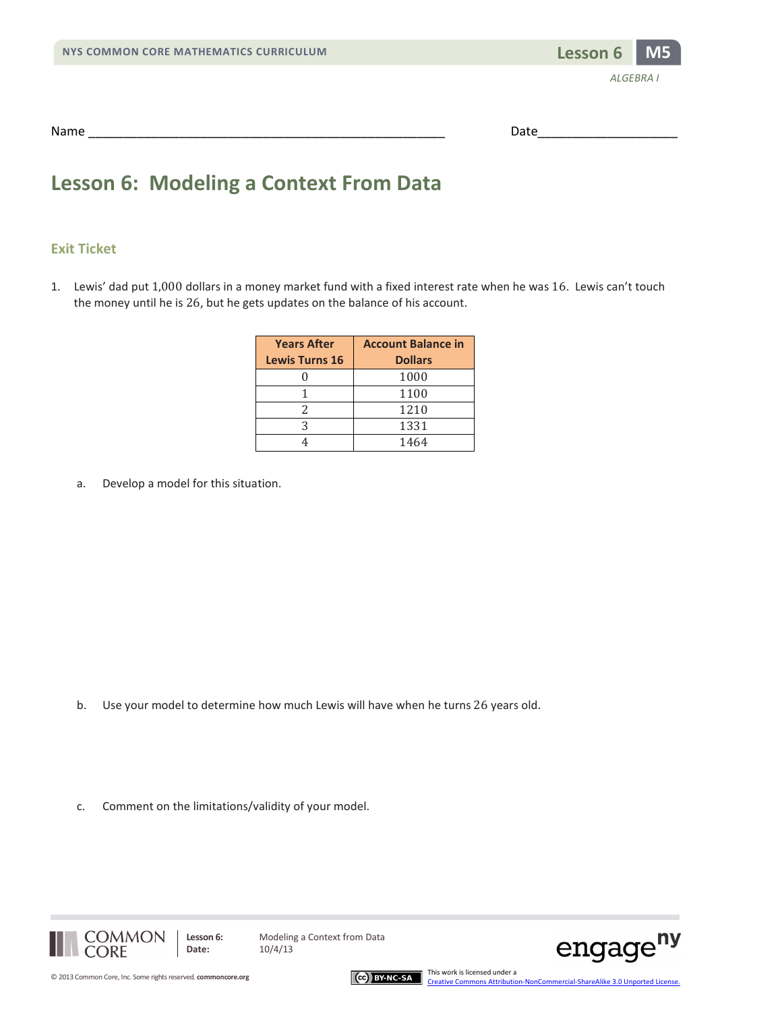

| Name | . |  |
|------|---|--|
|      |   |  |

## **Lesson 6: Modeling a Context From Data**

#### **Exit Ticket**

1. Lewis' dad put 1,000 dollars in a money market fund with a fixed interest rate when he was 16. Lewis can't touch the money until he is 26, but he gets updates on the balance of his account.

| <b>Years After</b>    | <b>Account Balance in</b> |
|-----------------------|---------------------------|
| <b>Lewis Turns 16</b> | <b>Dollars</b>            |
|                       | 1000                      |
|                       | 1100                      |
|                       | 1210                      |
|                       | 1331                      |
|                       | 1464                      |

a. Develop a model for this situation.

- b. Use your model to determine how much Lewis will have when he turns 26 years old.
- c. Comment on the limitations/validity of your model.





This work is licensed under a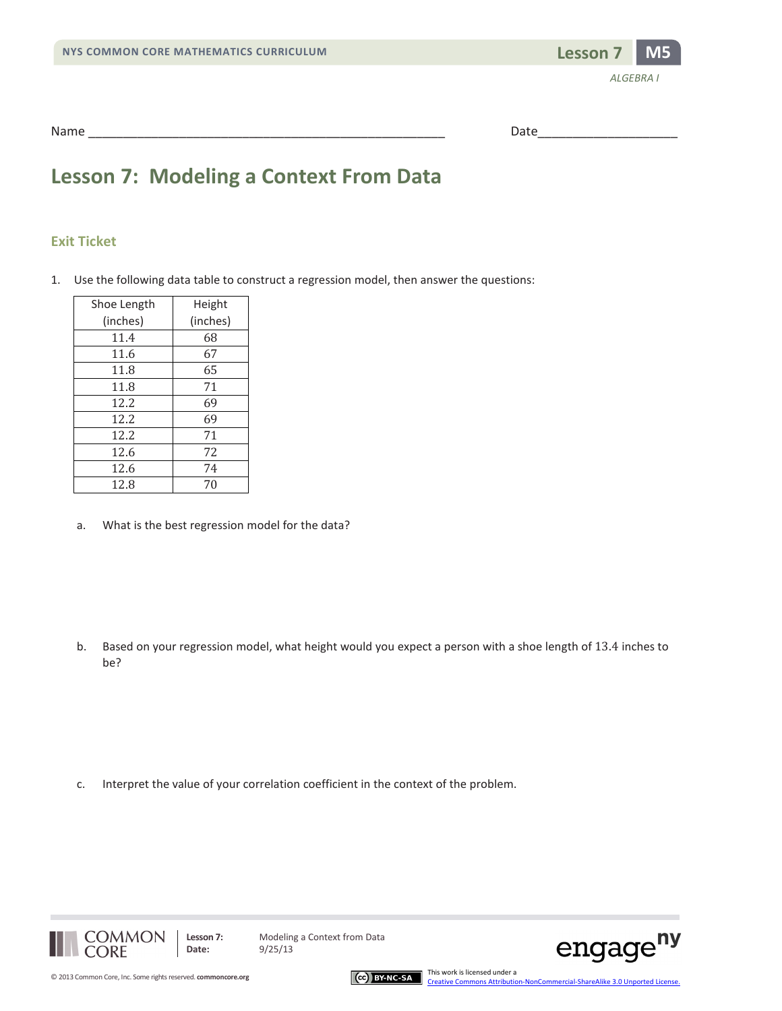

| Name   |           |
|--------|-----------|
| ______ | $- - - -$ |

## **Lesson 7: Modeling a Context From Data**

#### **Exit Ticket**

1. Use the following data table to construct a regression model, then answer the questions:

| Shoe Length | Height   |
|-------------|----------|
| (inches)    | (inches) |
| 11.4        | 68       |
| 11.6        | 67       |
| 11.8        | 65       |
| 11.8        | 71       |
| 12.2        | 69       |
| 12.2        | 69       |
| 12.2        | 71       |
| 12.6        | 72       |
| 12.6        | 74       |
| 12.8        | 70       |

a. What is the best regression model for the data?

b. Based on your regression model, what height would you expect a person with a shoe length of 13.4 inches to be?

c. Interpret the value of your correlation coefficient in the context of the problem.





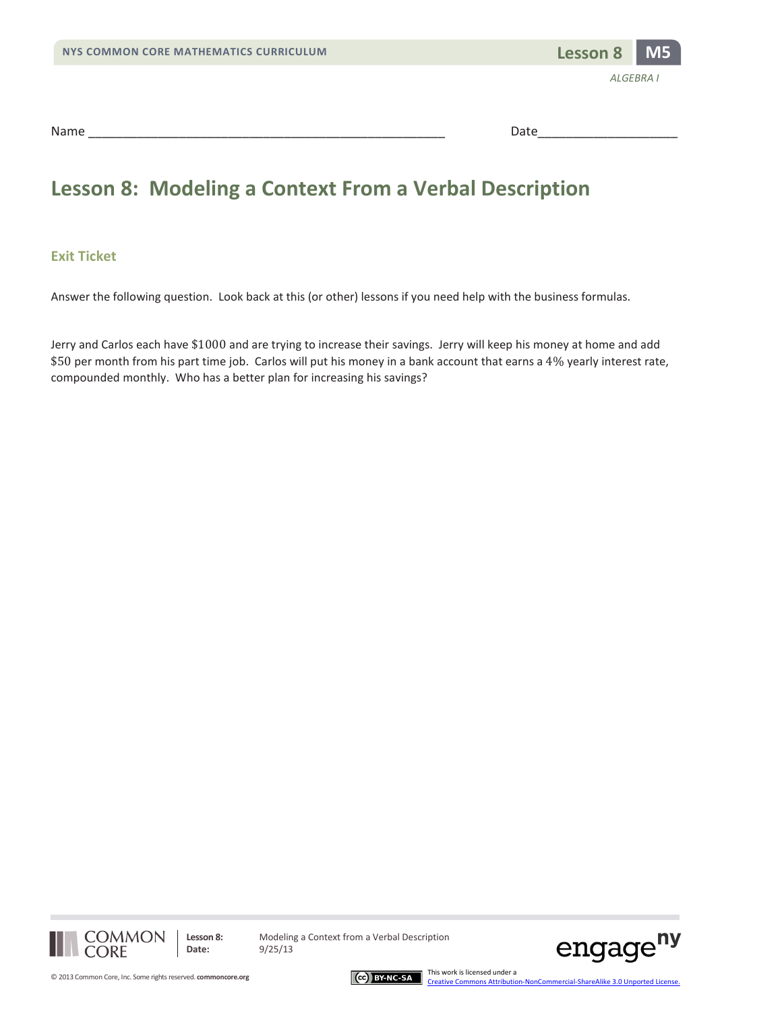

Name \_\_\_\_\_\_\_\_\_\_\_\_\_\_\_\_\_\_\_\_\_\_\_\_\_\_\_\_\_\_\_\_\_\_\_\_\_\_\_\_\_\_\_\_\_\_\_\_\_\_\_ Date\_\_\_\_\_\_\_\_\_\_\_\_\_\_\_\_\_\_\_\_

## **Lesson 8: Modeling a Context From a Verbal Description**

#### **Exit Ticket**

Answer the following question. Look back at this (or other) lessons if you need help with the business formulas.

Jerry and Carlos each have \$1000 and are trying to increase their savings. Jerry will keep his money at home and add \$50 per month from his part time job. Carlos will put his money in a bank account that earns a 4% yearly interest rate, compounded monthly. Who has a better plan for increasing his savings?



**Lesson 8:** Modeling a Context from a Verbal Description



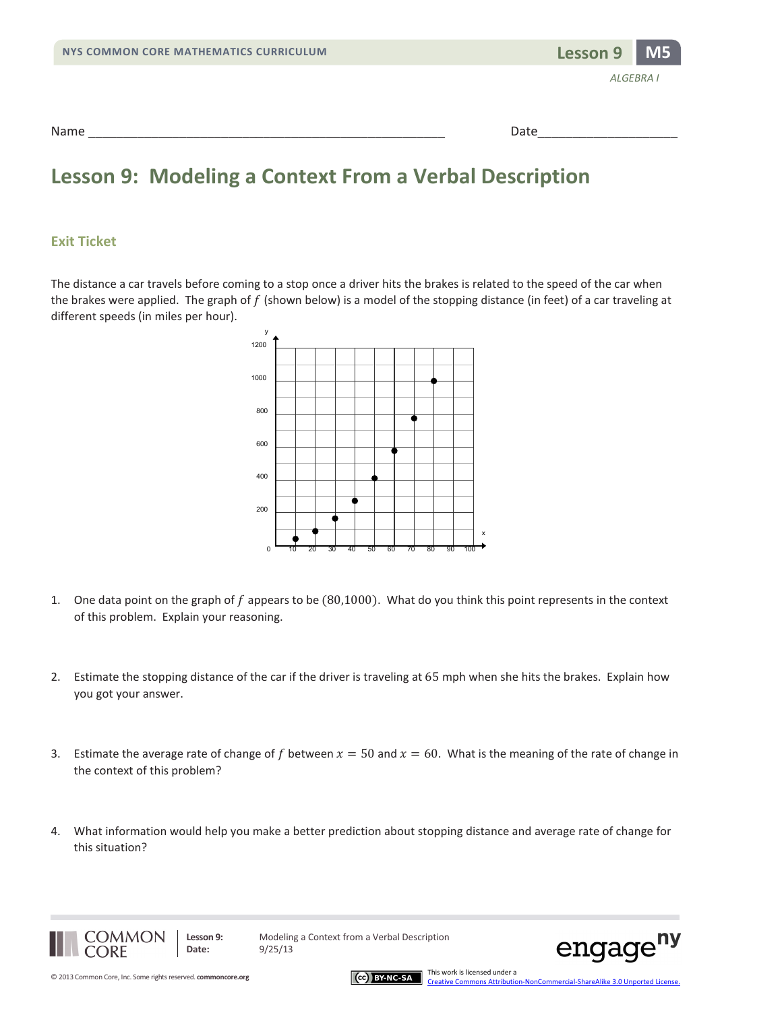| NYS COMMON CORE MATHEMATICS CURRICULUM | Lesson 9 M5      |
|----------------------------------------|------------------|
|                                        | <b>ALGEBRA I</b> |
| Name                                   | Date             |

### **Lesson 9: Modeling a Context From a Verbal Description**

#### **Exit Ticket**

The distance a car travels before coming to a stop once a driver hits the brakes is related to the speed of the car when the brakes were applied. The graph of  $f$  (shown below) is a model of the stopping distance (in feet) of a car traveling at different speeds (in miles per hour).



- 1. One data point on the graph of  $f$  appears to be  $(80,1000)$ . What do you think this point represents in the context of this problem. Explain your reasoning.
- 2. Estimate the stopping distance of the car if the driver is traveling at 65 mph when she hits the brakes. Explain how you got your answer.
- 3. Estimate the average rate of change of f between  $x = 50$  and  $x = 60$ . What is the meaning of the rate of change in the context of this problem?
- 4. What information would help you make a better prediction about stopping distance and average rate of change for this situation?



**Lesson 9:** Modeling a Context from a Verbal Description



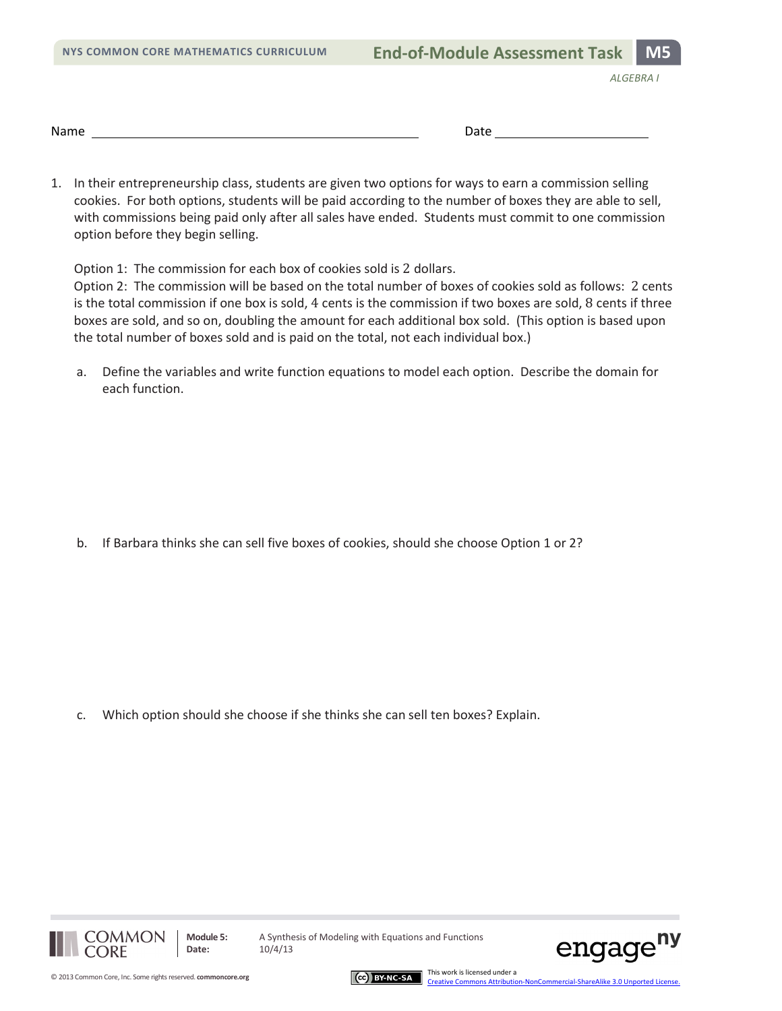|  |  |  | <b>NYS COMMON CORE MATHEMATICS CURRICULUM</b> |  |
|--|--|--|-----------------------------------------------|--|
|--|--|--|-----------------------------------------------|--|

*ALGEBRA I*

1. In their entrepreneurship class, students are given two options for ways to earn a commission selling cookies. For both options, students will be paid according to the number of boxes they are able to sell, with commissions being paid only after all sales have ended. Students must commit to one commission option before they begin selling.

Option 1: The commission for each box of cookies sold is 2 dollars.

Option 2: The commission will be based on the total number of boxes of cookies sold as follows: 2 cents is the total commission if one box is sold, 4 cents is the commission if two boxes are sold, 8 cents if three boxes are sold, and so on, doubling the amount for each additional box sold. (This option is based upon the total number of boxes sold and is paid on the total, not each individual box.)

a. Define the variables and write function equations to model each option. Describe the domain for each function.

b. If Barbara thinks she can sell five boxes of cookies, should she choose Option 1 or 2?

c. Which option should she choose if she thinks she can sell ten boxes? Explain.





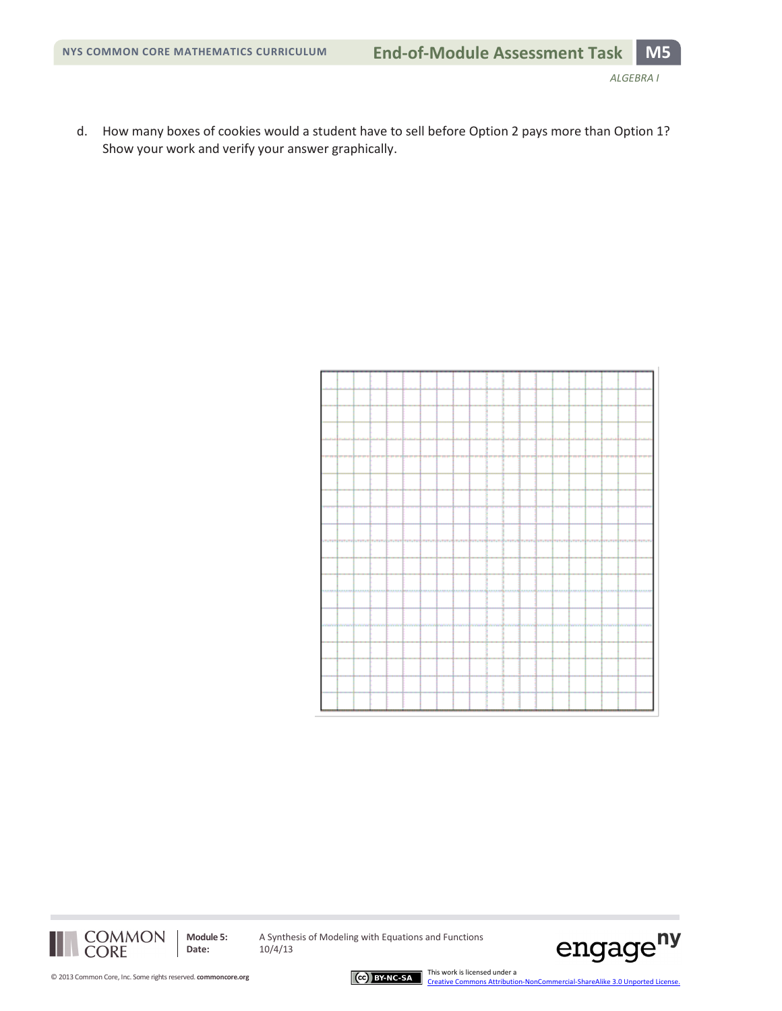d. How many boxes of cookies would a student have to sell before Option 2 pays more than Option 1? Show your work and verify your answer graphically.

| .,             |                    |         |                   |                  | <del>1777</del> |        |                                  | ------------- |         |        | <del>- 19 - 19 - 19 - 19 - 19 - 19 - 19</del> |                                            |                      | <b>++++++</b>           | mm                                                                                                            |        |
|----------------|--------------------|---------|-------------------|------------------|-----------------|--------|----------------------------------|---------------|---------|--------|-----------------------------------------------|--------------------------------------------|----------------------|-------------------------|---------------------------------------------------------------------------------------------------------------|--------|
|                |                    |         |                   |                  |                 |        |                                  |               |         |        |                                               |                                            |                      |                         |                                                                                                               |        |
|                |                    |         |                   |                  |                 |        |                                  |               |         |        |                                               |                                            |                      |                         |                                                                                                               |        |
|                |                    |         |                   |                  |                 |        |                                  |               |         |        |                                               |                                            |                      |                         |                                                                                                               |        |
|                |                    |         |                   |                  |                 |        |                                  |               |         |        |                                               |                                            |                      |                         |                                                                                                               |        |
|                |                    |         |                   |                  |                 |        |                                  |               |         |        |                                               |                                            |                      |                         |                                                                                                               |        |
|                |                    |         |                   |                  |                 |        |                                  |               |         |        |                                               |                                            |                      |                         |                                                                                                               |        |
|                |                    |         |                   |                  |                 |        |                                  |               |         |        |                                               |                                            |                      |                         |                                                                                                               |        |
|                |                    |         |                   |                  |                 |        |                                  |               |         |        |                                               |                                            |                      |                         |                                                                                                               |        |
|                |                    |         |                   |                  |                 |        |                                  |               |         |        |                                               |                                            |                      |                         |                                                                                                               |        |
|                |                    |         |                   |                  |                 |        |                                  |               |         |        |                                               |                                            |                      |                         |                                                                                                               |        |
|                |                    |         |                   |                  |                 |        |                                  |               |         |        |                                               |                                            |                      |                         |                                                                                                               |        |
|                |                    |         |                   |                  |                 |        |                                  |               |         |        |                                               |                                            |                      |                         |                                                                                                               |        |
|                |                    |         |                   |                  |                 |        |                                  |               |         |        |                                               |                                            |                      |                         |                                                                                                               |        |
|                |                    |         |                   |                  |                 |        |                                  |               |         |        |                                               |                                            |                      |                         |                                                                                                               |        |
|                |                    |         |                   |                  |                 |        |                                  |               |         |        |                                               |                                            |                      |                         |                                                                                                               |        |
|                |                    |         |                   |                  |                 |        |                                  |               |         |        |                                               |                                            |                      |                         |                                                                                                               |        |
|                |                    |         |                   |                  |                 |        |                                  |               |         |        |                                               |                                            |                      |                         |                                                                                                               |        |
|                |                    |         |                   |                  |                 |        |                                  |               |         |        |                                               |                                            |                      |                         |                                                                                                               |        |
|                |                    |         |                   |                  |                 |        |                                  |               |         |        |                                               |                                            |                      |                         |                                                                                                               |        |
|                |                    |         |                   |                  |                 |        |                                  |               |         |        |                                               |                                            |                      |                         |                                                                                                               |        |
|                |                    |         |                   |                  |                 |        |                                  |               |         |        |                                               |                                            |                      |                         |                                                                                                               |        |
|                |                    |         |                   |                  |                 |        |                                  |               |         |        |                                               |                                            |                      |                         | rendjunen (en nedje en nefjunen of en en ferrendjunen) for nedje med peredjunen (en en ferrendjunen) men djun | マンテンティ |
|                |                    |         |                   |                  |                 |        |                                  |               |         |        |                                               |                                            |                      |                         |                                                                                                               |        |
|                |                    |         |                   |                  |                 |        |                                  |               |         |        |                                               |                                            |                      |                         |                                                                                                               |        |
|                |                    |         |                   |                  |                 |        |                                  |               |         |        |                                               |                                            |                      |                         |                                                                                                               |        |
|                |                    |         |                   |                  |                 |        |                                  |               |         |        |                                               |                                            |                      |                         |                                                                                                               |        |
|                |                    |         |                   |                  |                 |        |                                  |               |         |        |                                               |                                            |                      |                         |                                                                                                               |        |
|                |                    |         |                   |                  |                 |        |                                  |               |         |        |                                               |                                            |                      |                         |                                                                                                               |        |
|                |                    |         |                   |                  |                 |        |                                  |               |         |        |                                               |                                            |                      |                         |                                                                                                               |        |
|                |                    |         |                   |                  |                 |        |                                  |               |         |        |                                               |                                            |                      |                         |                                                                                                               |        |
|                |                    |         |                   |                  |                 |        |                                  |               |         |        |                                               |                                            |                      |                         |                                                                                                               |        |
|                |                    |         |                   |                  |                 |        |                                  |               |         |        |                                               |                                            |                      |                         |                                                                                                               |        |
|                |                    |         |                   |                  |                 |        |                                  |               |         |        |                                               |                                            |                      |                         |                                                                                                               |        |
| <b>A PLA A</b> | <b>A.A.A.A.A.A</b> | 1.5.5.1 | <b>R.R.R.R.S.</b> | <b>R.R.R.R.R</b> | 523.53          | 三处之之之难 | <b>在在 起来 及 ADL 及 及 反 处 A ADL</b> |               | <b></b> | ****** | 423, 234, 24                                  | <b><i><u><i>AMPARATURATION</i></u></i></b> |                      | <b>R. R. R. R. R. E</b> |                                                                                                               |        |
|                |                    |         |                   |                  |                 |        |                                  |               |         |        |                                               |                                            |                      |                         |                                                                                                               |        |
|                |                    |         |                   |                  |                 |        |                                  |               |         |        |                                               |                                            |                      |                         |                                                                                                               |        |
|                |                    |         |                   |                  |                 |        |                                  |               |         |        |                                               |                                            |                      |                         |                                                                                                               |        |
|                |                    |         |                   |                  |                 |        |                                  |               |         |        |                                               |                                            |                      |                         |                                                                                                               |        |
|                |                    |         |                   |                  |                 |        |                                  |               |         |        |                                               |                                            |                      |                         |                                                                                                               |        |
|                |                    |         |                   |                  |                 |        |                                  |               |         |        |                                               |                                            |                      |                         |                                                                                                               |        |
|                |                    |         |                   |                  |                 |        |                                  |               |         |        |                                               |                                            |                      |                         |                                                                                                               |        |
|                |                    |         |                   | --               | <b>WAY</b>      |        |                                  |               |         |        | handhanahat                                   | wind or order of                           | <b>Market Street</b> |                         |                                                                                                               |        |
|                |                    |         |                   |                  |                 |        |                                  |               |         |        |                                               |                                            |                      |                         |                                                                                                               |        |
|                |                    |         |                   |                  |                 |        |                                  |               |         |        |                                               |                                            |                      |                         |                                                                                                               |        |
|                |                    |         |                   |                  |                 |        |                                  |               |         |        |                                               |                                            |                      |                         |                                                                                                               |        |
|                |                    |         |                   |                  |                 |        |                                  |               |         |        |                                               |                                            |                      |                         |                                                                                                               |        |
|                |                    |         |                   |                  |                 |        |                                  |               |         |        |                                               |                                            |                      |                         |                                                                                                               |        |
|                |                    |         |                   |                  |                 |        |                                  |               |         |        |                                               |                                            |                      |                         |                                                                                                               |        |
|                |                    |         |                   |                  |                 |        |                                  |               |         |        |                                               |                                            |                      |                         |                                                                                                               |        |
|                |                    |         |                   |                  |                 |        |                                  |               |         |        |                                               |                                            |                      |                         |                                                                                                               |        |
|                |                    |         |                   |                  |                 |        |                                  |               |         |        |                                               |                                            |                      |                         |                                                                                                               |        |
|                |                    |         |                   |                  |                 |        |                                  |               |         |        |                                               |                                            |                      |                         |                                                                                                               |        |
|                |                    |         |                   |                  |                 |        |                                  |               |         |        |                                               |                                            |                      |                         |                                                                                                               |        |
|                |                    |         |                   |                  |                 |        |                                  |               |         |        |                                               |                                            |                      |                         |                                                                                                               |        |
|                |                    |         |                   |                  |                 |        |                                  |               |         |        |                                               |                                            |                      |                         |                                                                                                               |        |
|                |                    |         |                   |                  |                 |        |                                  |               |         |        |                                               |                                            |                      |                         |                                                                                                               |        |
|                |                    |         |                   |                  |                 |        |                                  |               |         |        |                                               |                                            |                      |                         |                                                                                                               |        |
|                |                    |         |                   |                  |                 |        |                                  |               |         |        |                                               |                                            |                      |                         |                                                                                                               |        |
|                |                    |         |                   |                  |                 |        |                                  |               |         |        |                                               |                                            |                      |                         |                                                                                                               |        |
|                |                    |         |                   |                  |                 |        |                                  |               |         |        |                                               |                                            |                      |                         |                                                                                                               |        |
|                |                    |         |                   |                  |                 |        |                                  |               |         |        |                                               |                                            |                      |                         |                                                                                                               |        |

COMMON<br>CORE

**Module 5:** A Synthesis of Modeling with Equations and Functions<br>Date:  $10/4/13$ **Date:** 10/4/13



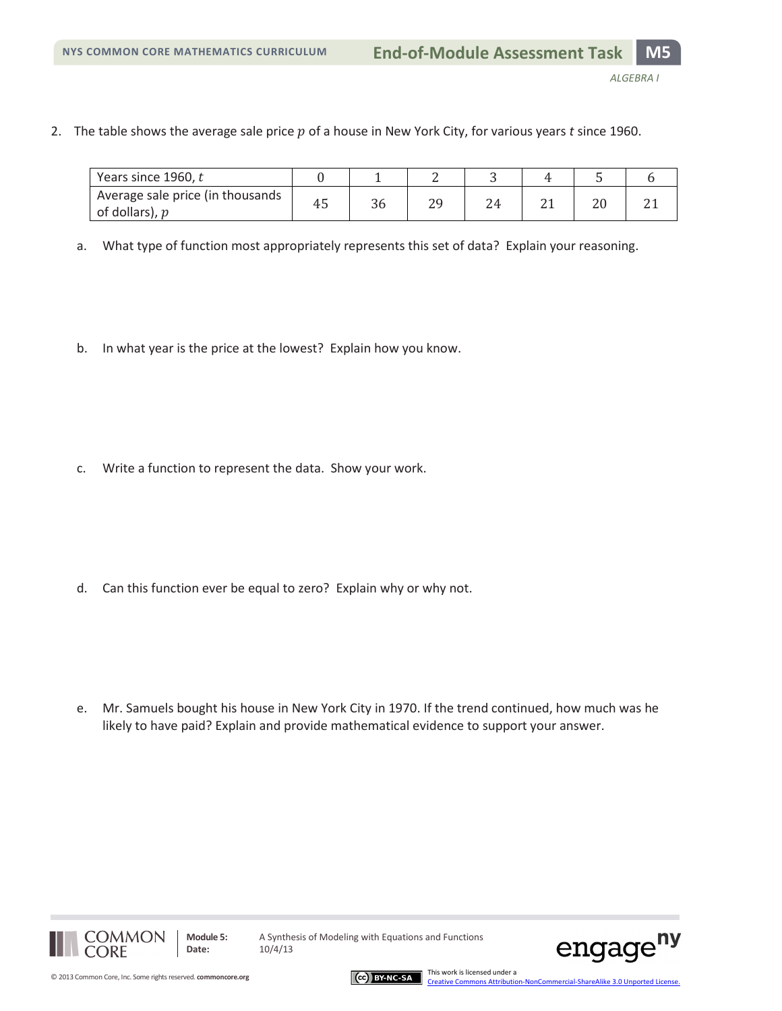*ALGEBRA I*

2. The table shows the average sale price p of a house in New York City, for various years *t* since 1960.

| Years since 1960, t                                |    |    |    |               |  |  |
|----------------------------------------------------|----|----|----|---------------|--|--|
| Average sale price (in thousands<br>of dollars), p | 45 | 36 | 7۵ | $^{\prime}$ 4 |  |  |

- a. What type of function most appropriately represents this set of data? Explain your reasoning.
- b. In what year is the price at the lowest? Explain how you know.

c. Write a function to represent the data. Show your work.

d. Can this function ever be equal to zero? Explain why or why not.

e. Mr. Samuels bought his house in New York City in 1970. If the trend continued, how much was he likely to have paid? Explain and provide mathematical evidence to support your answer.



**Module 5:** A Synthesis of Modeling with Equations and Functions



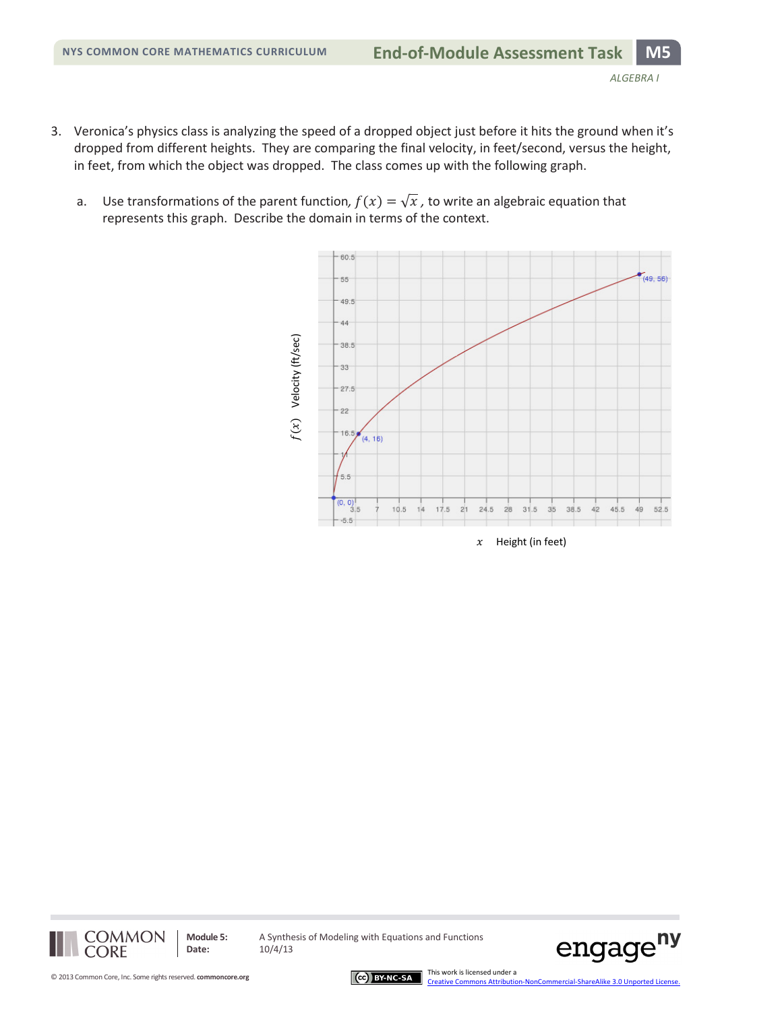- 3. Veronica's physics class is analyzing the speed of a dropped object just before it hits the ground when it's dropped from different heights. They are comparing the final velocity, in feet/second, versus the height, in feet, from which the object was dropped. The class comes up with the following graph.
	- a. Use transformations of the parent function,  $f(x) = \sqrt{x}$ , to write an algebraic equation that represents this graph. Describe the domain in terms of the context.





**Date:** 10/4/13

**Module 5:** A Synthesis of Modeling with Equations and Functions



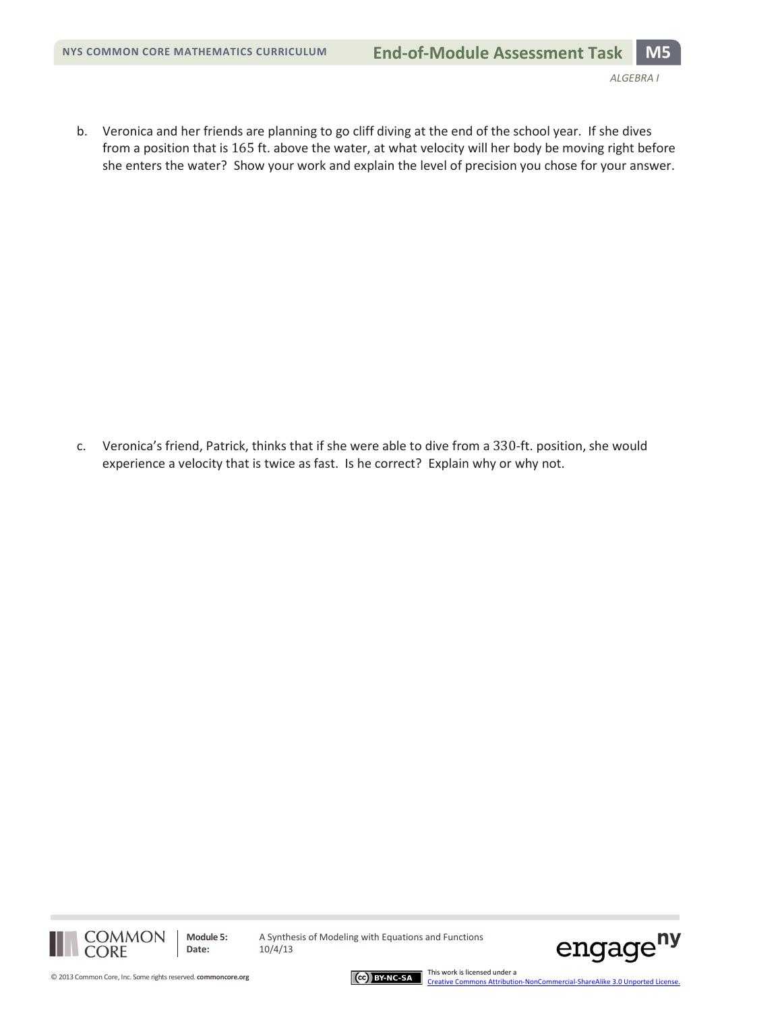b. Veronica and her friends are planning to go cliff diving at the end of the school year. If she dives from a position that is 165 ft. above the water, at what velocity will her body be moving right before she enters the water? Show your work and explain the level of precision you chose for your answer.

c. Veronica's friend, Patrick, thinks that if she were able to dive from a 330-ft. position, she would experience a velocity that is twice as fast. Is he correct? Explain why or why not.





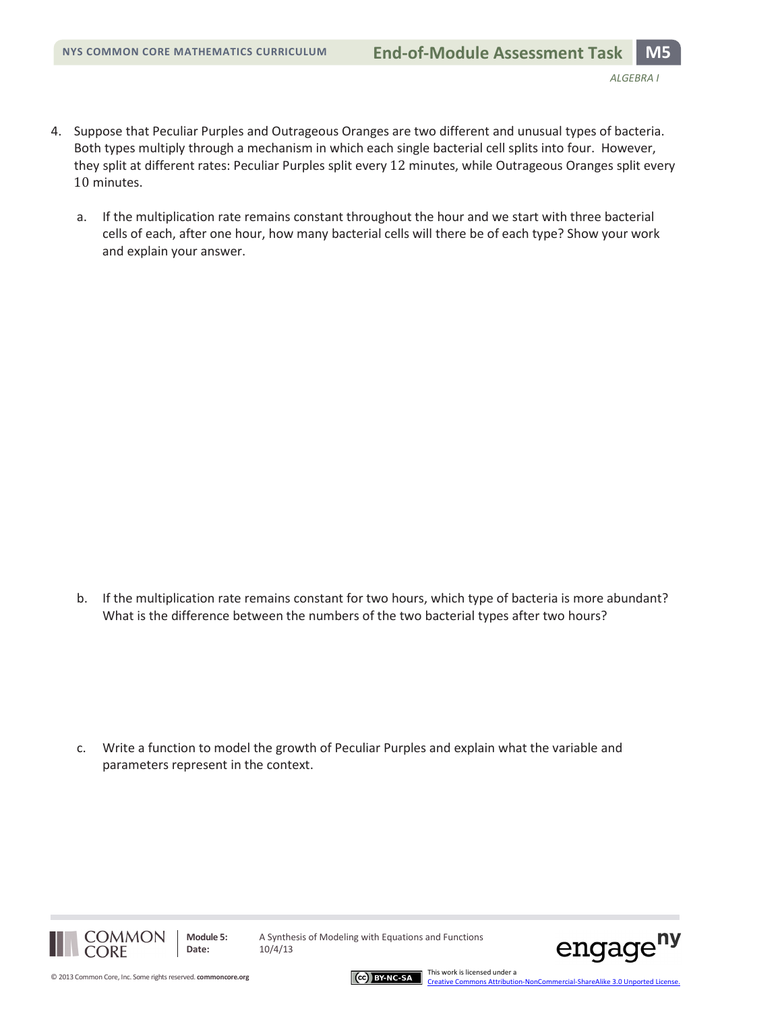- 4. Suppose that Peculiar Purples and Outrageous Oranges are two different and unusual types of bacteria. Both types multiply through a mechanism in which each single bacterial cell splits into four. However, they split at different rates: Peculiar Purples split every 12 minutes, while Outrageous Oranges split every 10 minutes.
	- a. If the multiplication rate remains constant throughout the hour and we start with three bacterial cells of each, after one hour, how many bacterial cells will there be of each type? Show your work and explain your answer.

b. If the multiplication rate remains constant for two hours, which type of bacteria is more abundant? What is the difference between the numbers of the two bacterial types after two hours?

c. Write a function to model the growth of Peculiar Purples and explain what the variable and parameters represent in the context.



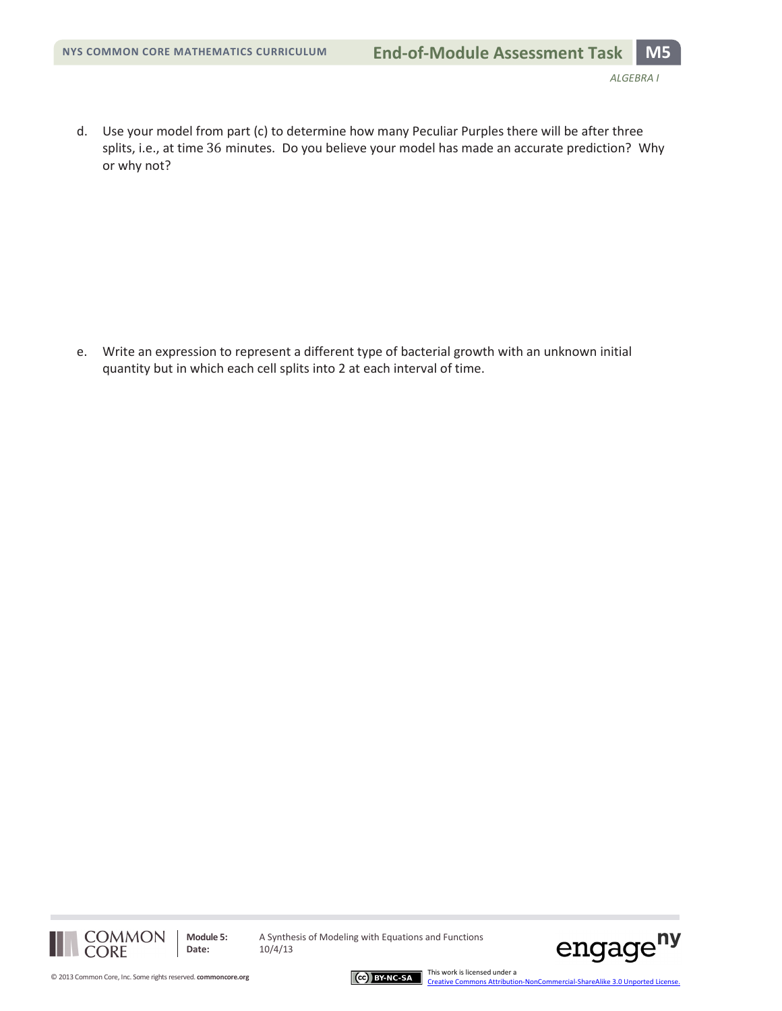d. Use your model from part (c) to determine how many Peculiar Purples there will be after three splits, i.e., at time 36 minutes. Do you believe your model has made an accurate prediction? Why or why not?

e. Write an expression to represent a different type of bacterial growth with an unknown initial quantity but in which each cell splits into 2 at each interval of time.





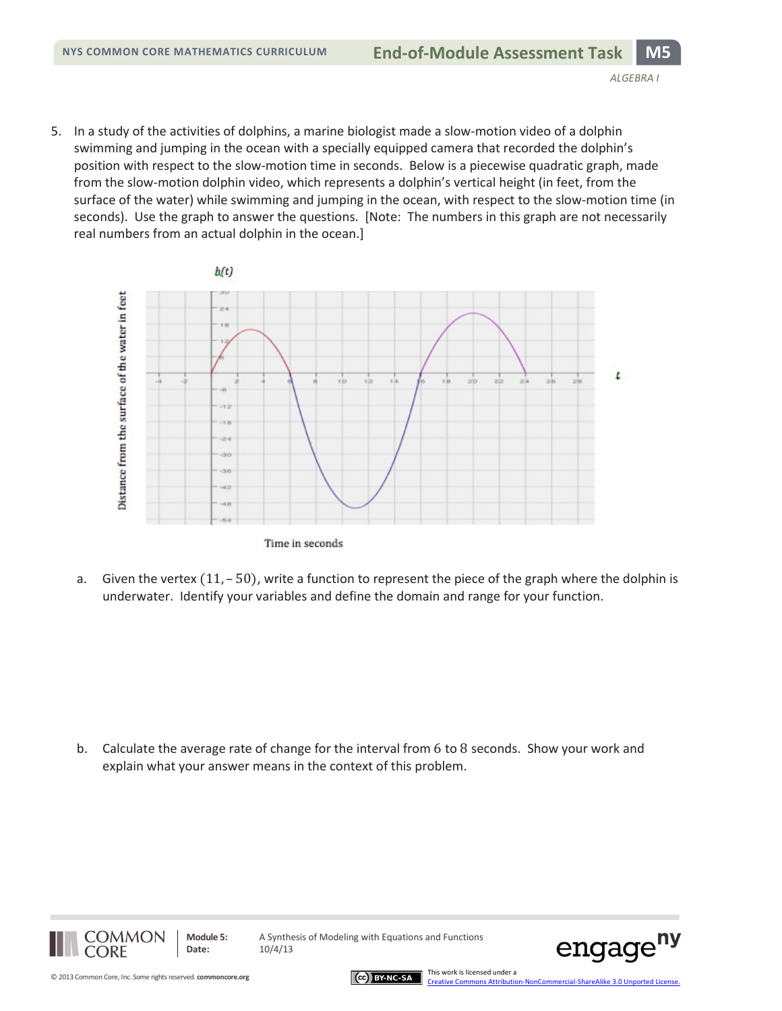5. In a study of the activities of dolphins, a marine biologist made a slow-motion video of a dolphin swimming and jumping in the ocean with a specially equipped camera that recorded the dolphin's position with respect to the slow-motion time in seconds. Below is a piecewise quadratic graph, made from the slow-motion dolphin video, which represents a dolphin's vertical height (in feet, from the surface of the water) while swimming and jumping in the ocean, with respect to the slow-motion time (in seconds). Use the graph to answer the questions. [Note: The numbers in this graph are not necessarily real numbers from an actual dolphin in the ocean.]



a. Given the vertex (11, - 50), write a function to represent the piece of the graph where the dolphin is underwater. Identify your variables and define the domain and range for your function.

b. Calculate the average rate of change for the interval from 6 to 8 seconds. Show your work and explain what your answer means in the context of this problem.



**Module 5:** A Synthesis of Modeling with Equations and Functions **Date:** 10/4/13



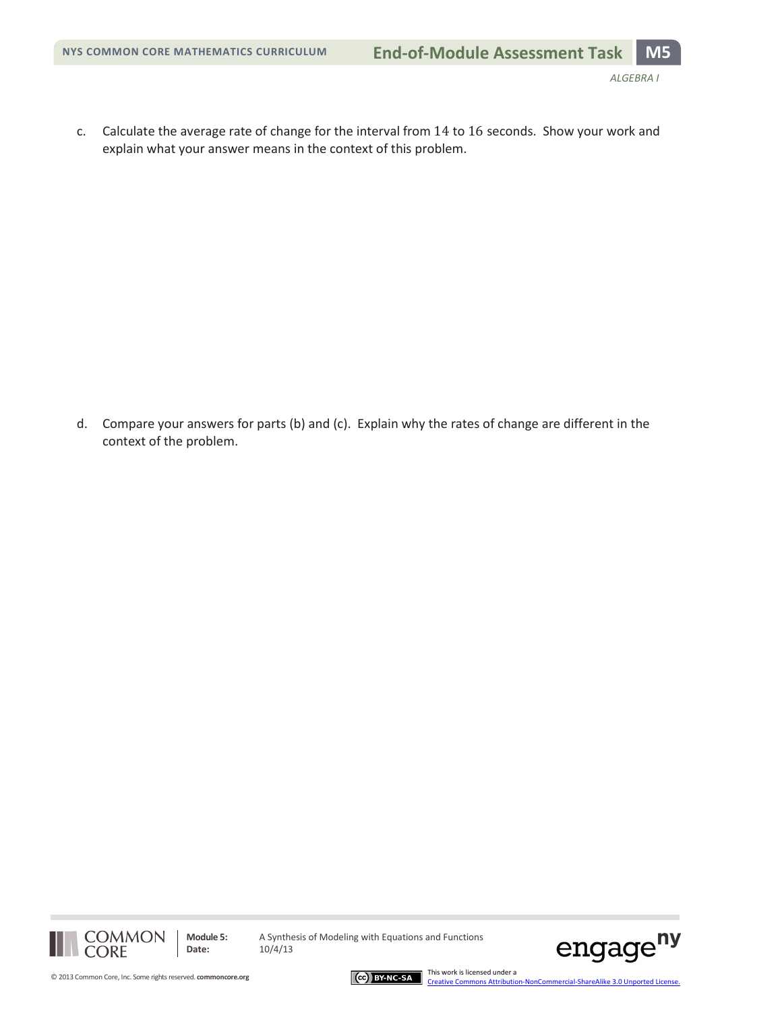c. Calculate the average rate of change for the interval from 14 to 16 seconds. Show your work and explain what your answer means in the context of this problem.

d. Compare your answers for parts (b) and (c). Explain why the rates of change are different in the context of the problem.





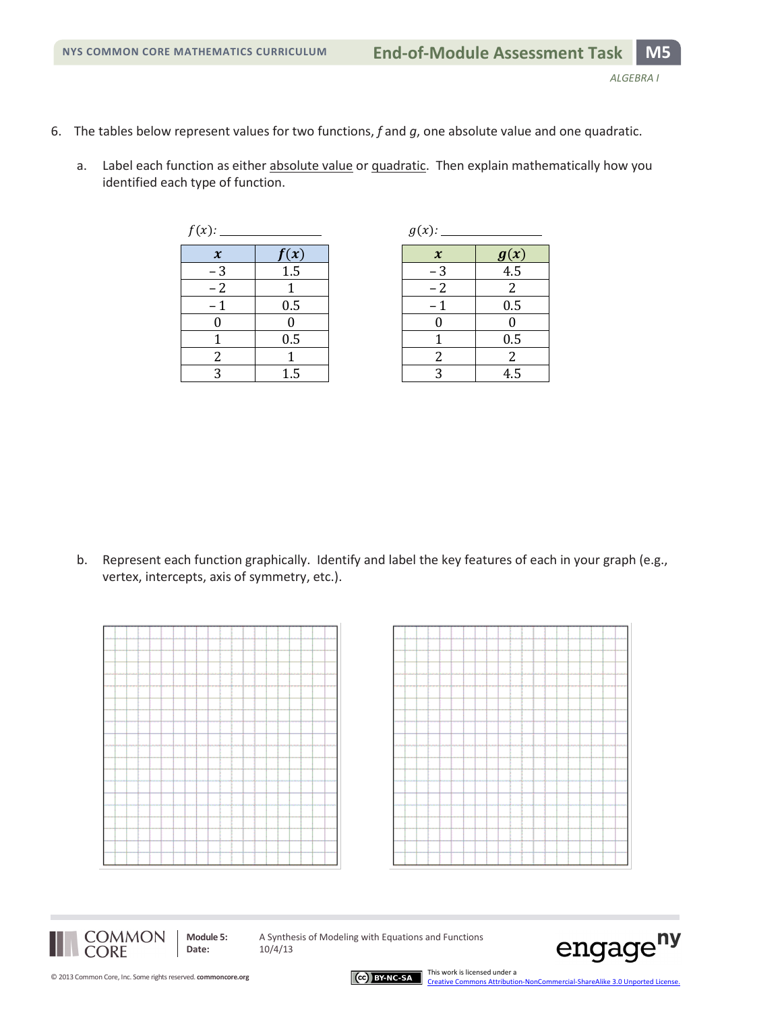- 6. The tables below represent values for two functions, *f* and *g*, one absolute value and one quadratic.
	- a. Label each function as either absolute value or quadratic. Then explain mathematically how you identified each type of function.

| $f(x)$ :                   |      | $g(x)$ :                   |                  |
|----------------------------|------|----------------------------|------------------|
| $\boldsymbol{\mathcal{X}}$ | f(x) | $\boldsymbol{\mathcal{X}}$ | $(\pmb x)$       |
| $-3$                       | 1.5  | $-3$                       | $\overline{4.5}$ |
| $-2$                       |      | $-2$                       | $\overline{2}$   |
| $-1$                       | 0.5  |                            | 0.5              |
|                            |      |                            |                  |
|                            | 0.5  |                            | 0.5              |
| 2                          |      |                            | $\overline{2}$   |
| 2                          | 1.5  | ി                          | 4.5              |

|                            |      | $g(x)$ : |                            |                    |
|----------------------------|------|----------|----------------------------|--------------------|
| $\boldsymbol{\mathcal{X}}$ | f(x) |          | $\boldsymbol{\mathcal{X}}$ |                    |
| $-3$                       | 1.5  |          | $-3$                       | $\frac{g(x)}{4.5}$ |
| $-2$                       |      |          | $-2$                       | 2                  |
|                            | 0.5  |          |                            | 0.5                |
| $\overline{0}$             |      |          |                            |                    |
| 1                          | 0.5  |          |                            | 0.5                |
| $\overline{c}$             |      |          | 2                          | 2                  |
| 3                          | 1.5  |          |                            | 4.5                |

b. Represent each function graphically. Identify and label the key features of each in your graph (e.g., vertex, intercepts, axis of symmetry, etc.).







**Date:** 10/4/13

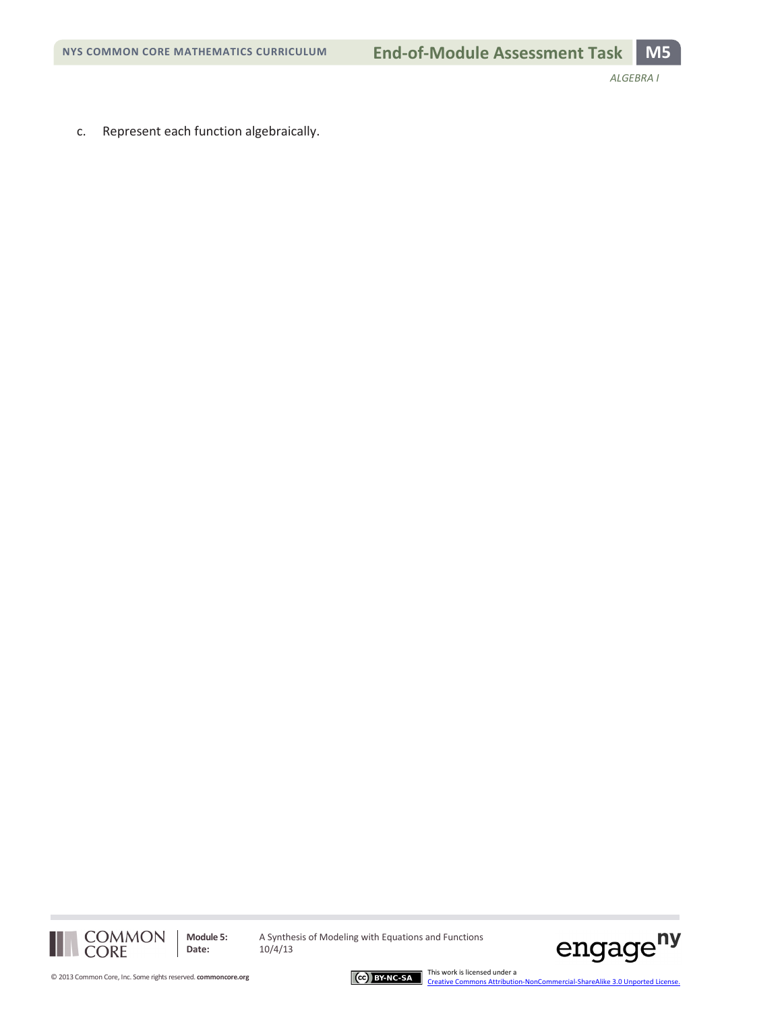*ALGEBRA I*

c. Represent each function algebraically.



**Module 5:** A Synthesis of Modeling with Equations and Functions<br>Date:  $10/4/13$ **Date:** 10/4/13



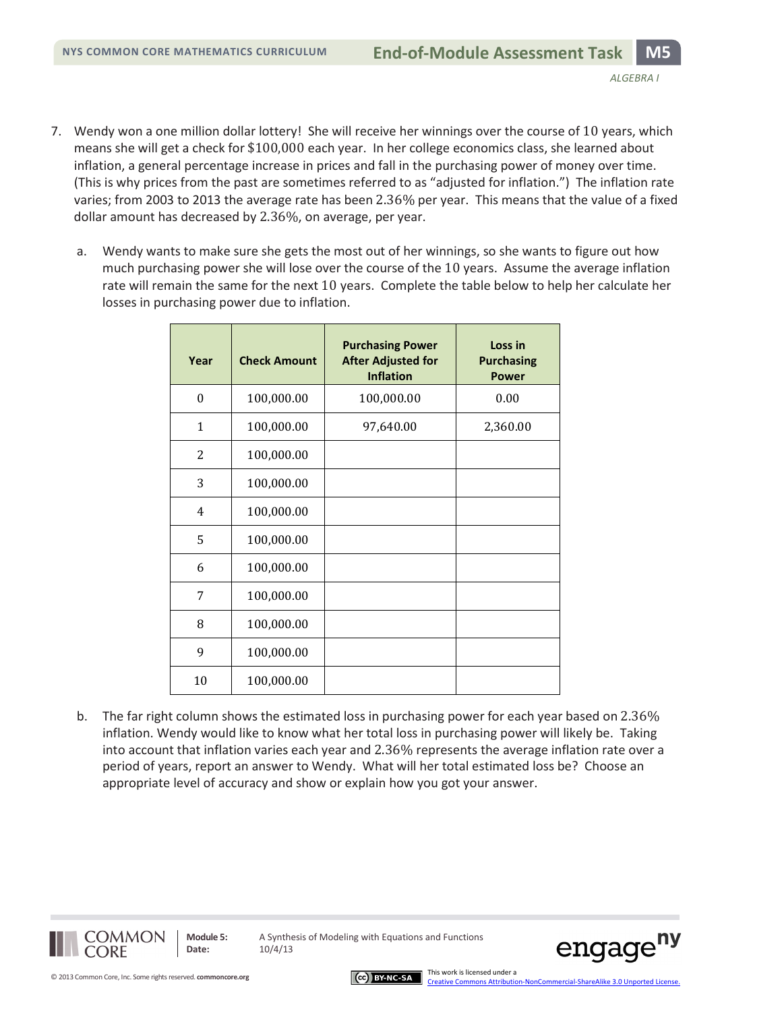- 7. Wendy won a one million dollar lottery! She will receive her winnings over the course of 10 years, which means she will get a check for \$100,000 each year. In her college economics class, she learned about inflation, a general percentage increase in prices and fall in the purchasing power of money over time. (This is why prices from the past are sometimes referred to as "adjusted for inflation.") The inflation rate varies; from 2003 to 2013 the average rate has been 2.36% per year. This means that the value of a fixed dollar amount has decreased by 2.36%, on average, per year.
	- a. Wendy wants to make sure she gets the most out of her winnings, so she wants to figure out how much purchasing power she will lose over the course of the 10 years. Assume the average inflation rate will remain the same for the next 10 years. Complete the table below to help her calculate her losses in purchasing power due to inflation.

| Year           | <b>Check Amount</b> | <b>Purchasing Power</b><br><b>After Adjusted for</b><br><b>Inflation</b> | Loss in<br><b>Purchasing</b><br><b>Power</b> |
|----------------|---------------------|--------------------------------------------------------------------------|----------------------------------------------|
| $\theta$       | 100,000.00          | 100,000.00                                                               | 0.00                                         |
| 1              | 100,000.00          | 97,640.00                                                                | 2,360.00                                     |
| $\overline{2}$ | 100,000.00          |                                                                          |                                              |
| 3              | 100,000.00          |                                                                          |                                              |
| 4              | 100,000.00          |                                                                          |                                              |
| 5              | 100,000.00          |                                                                          |                                              |
| 6              | 100,000.00          |                                                                          |                                              |
| 7              | 100,000.00          |                                                                          |                                              |
| 8              | 100,000.00          |                                                                          |                                              |
| 9              | 100,000.00          |                                                                          |                                              |
| 10             | 100,000.00          |                                                                          |                                              |

b. The far right column shows the estimated loss in purchasing power for each year based on 2.36% inflation. Wendy would like to know what her total loss in purchasing power will likely be. Taking into account that inflation varies each year and 2.36% represents the average inflation rate over a period of years, report an answer to Wendy. What will her total estimated loss be? Choose an appropriate level of accuracy and show or explain how you got your answer.